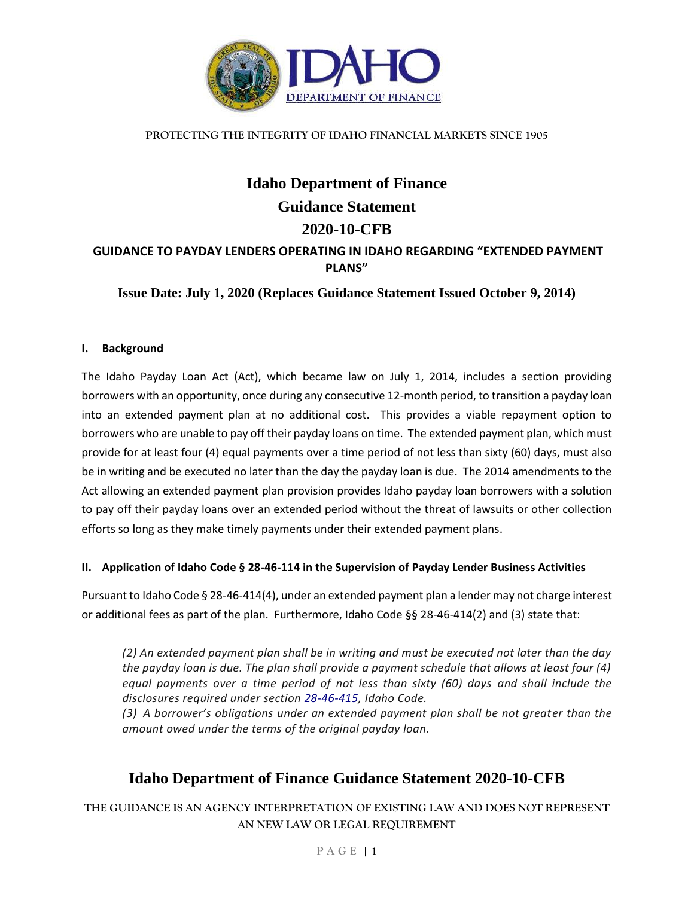

#### **PROTECTING THE INTEGRITY OF IDAHO FINANCIAL MARKETS SINCE 1905**

# **Idaho Department of Finance Guidance Statement 2020-10-CFB GUIDANCE TO PAYDAY LENDERS OPERATING IN IDAHO REGARDING "EXTENDED PAYMENT PLANS"**

**Issue Date: July 1, 2020 (Replaces Guidance Statement Issued October 9, 2014)**

### **I. Background**

The Idaho Payday Loan Act (Act), which became law on July 1, 2014, includes a section providing borrowers with an opportunity, once during any consecutive 12-month period, to transition a payday loan into an extended payment plan at no additional cost. This provides a viable repayment option to borrowers who are unable to pay off their payday loans on time. The extended payment plan, which must provide for at least four (4) equal payments over a time period of not less than sixty (60) days, must also be in writing and be executed no later than the day the payday loan is due. The 2014 amendments to the Act allowing an extended payment plan provision provides Idaho payday loan borrowers with a solution to pay off their payday loans over an extended period without the threat of lawsuits or other collection efforts so long as they make timely payments under their extended payment plans.

### **II. Application of Idaho Code § 28-46-114 in the Supervision of Payday Lender Business Activities**

Pursuant to Idaho Code § 28-46-414(4), under an extended payment plan a lender may not charge interest or additional fees as part of the plan. Furthermore, Idaho Code §§ 28-46-414(2) and (3) state that:

*(2) An extended payment plan shall be in writing and must be executed not later than the day the payday loan is due. The plan shall provide a payment schedule that allows at least four (4) equal payments over a time period of not less than sixty (60) days and shall include the disclosures required under section [28-46-415,](https://legislature.idaho.gov/statutesrules/idstat/Title28/T28CH46/SECT28-46-415) Idaho Code.*

*(3) A borrower's obligations under an extended payment plan shall be not greater than the amount owed under the terms of the original payday loan.*

# **Idaho Department of Finance Guidance Statement 2020-10-CFB**

**THE GUIDANCE IS AN AGENCY INTERPRETATION OF EXISTING LAW AND DOES NOT REPRESENT AN NEW LAW OR LEGAL REQUIREMENT**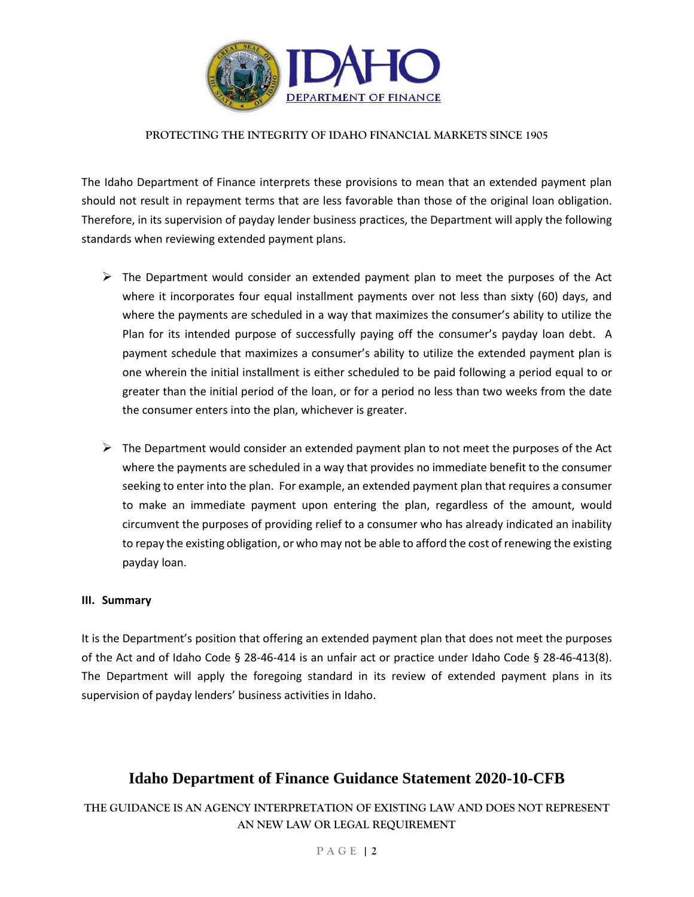

#### **PROTECTING THE INTEGRITY OF IDAHO FINANCIAL MARKETS SINCE 1905**

The Idaho Department of Finance interprets these provisions to mean that an extended payment plan should not result in repayment terms that are less favorable than those of the original loan obligation. Therefore, in its supervision of payday lender business practices, the Department will apply the following standards when reviewing extended payment plans.

- $\triangleright$  The Department would consider an extended payment plan to meet the purposes of the Act where it incorporates four equal installment payments over not less than sixty (60) days, and where the payments are scheduled in a way that maximizes the consumer's ability to utilize the Plan for its intended purpose of successfully paying off the consumer's payday loan debt. A payment schedule that maximizes a consumer's ability to utilize the extended payment plan is one wherein the initial installment is either scheduled to be paid following a period equal to or greater than the initial period of the loan, or for a period no less than two weeks from the date the consumer enters into the plan, whichever is greater.
- $\triangleright$  The Department would consider an extended payment plan to not meet the purposes of the Act where the payments are scheduled in a way that provides no immediate benefit to the consumer seeking to enter into the plan. For example, an extended payment plan that requires a consumer to make an immediate payment upon entering the plan, regardless of the amount, would circumvent the purposes of providing relief to a consumer who has already indicated an inability to repay the existing obligation, or who may not be able to afford the cost of renewing the existing payday loan.

#### **III. Summary**

It is the Department's position that offering an extended payment plan that does not meet the purposes of the Act and of Idaho Code § 28-46-414 is an unfair act or practice under Idaho Code § 28-46-413(8). The Department will apply the foregoing standard in its review of extended payment plans in its supervision of payday lenders' business activities in Idaho.

## **Idaho Department of Finance Guidance Statement 2020-10-CFB**

**THE GUIDANCE IS AN AGENCY INTERPRETATION OF EXISTING LAW AND DOES NOT REPRESENT AN NEW LAW OR LEGAL REQUIREMENT**